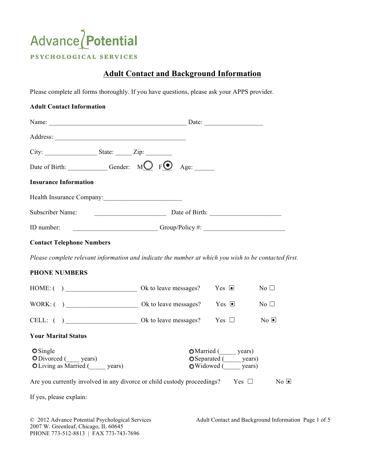# Advance Potential PSYCHOLOGICAL SERVICES

## **Adult Contact and Background Information**

Please complete all forms thoroughly. If you have questions, please ask your APPS provider.

| <b>Adult Contact Information</b>                                                                      |                 |                                                                           |                  |
|-------------------------------------------------------------------------------------------------------|-----------------|---------------------------------------------------------------------------|------------------|
|                                                                                                       |                 |                                                                           |                  |
|                                                                                                       |                 |                                                                           |                  |
| $City:$ State: $\qquad \qquad \text{Type:}$                                                           |                 |                                                                           |                  |
| Date of Birth: Gender: $MQ$ $FQ$ Age:                                                                 |                 |                                                                           |                  |
| <b>Insurance Information</b>                                                                          |                 |                                                                           |                  |
|                                                                                                       |                 |                                                                           |                  |
|                                                                                                       |                 |                                                                           |                  |
| ID number:                                                                                            | Group/Policy #: |                                                                           |                  |
| <b>Contact Telephone Numbers</b>                                                                      |                 |                                                                           |                  |
| Please complete relevant information and indicate the number at which you wish to be contacted first. |                 |                                                                           |                  |
| <b>PHONE NUMBERS</b>                                                                                  |                 |                                                                           |                  |
|                                                                                                       |                 |                                                                           | $No \Box$        |
|                                                                                                       |                 |                                                                           | No <sub>1</sub>  |
|                                                                                                       |                 |                                                                           | $No$ $\Box$      |
| <b>Your Marital Status</b>                                                                            |                 |                                                                           |                  |
| $\bullet$ Single<br>ODivorced (years)<br>O Living as Married (years)                                  |                 | OMarried (years)<br>OSeparated (______ years)<br>OWidowed (strategy ears) |                  |
| Are you currently involved in any divorce or child custody proceedings? Yes $\Box$                    |                 |                                                                           | $\overline{N_0}$ |
| If yes, please explain:                                                                               |                 |                                                                           |                  |

2007 W. Greenleaf, Chicago, IL 60645 PHONE 773-512-8813 | FAX 773-743-7696

© 2012 Advance Potential Psychological Services Adult Contact and Background Information Page 1 of 5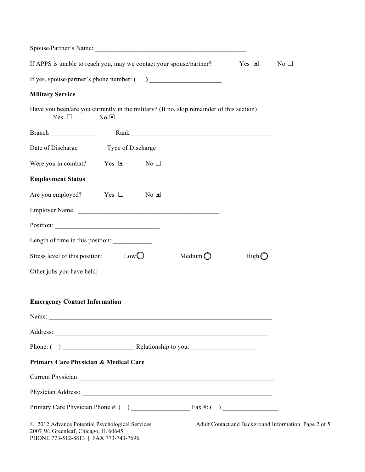| If APPS is unable to reach you, may we contact your spouse/partner? $\blacksquare$ Yes $\blacksquare$     |             |                |                   |       | No $\square$                                         |
|-----------------------------------------------------------------------------------------------------------|-------------|----------------|-------------------|-------|------------------------------------------------------|
|                                                                                                           |             |                |                   |       |                                                      |
| <b>Military Service</b>                                                                                   |             |                |                   |       |                                                      |
| Have you been/are you currently in the military? (If no, skip remainder of this section)<br>Yes $\square$ | $No$ $\Box$ |                |                   |       |                                                      |
|                                                                                                           |             |                |                   |       |                                                      |
| Date of Discharge Type of Discharge                                                                       |             |                |                   |       |                                                      |
| Were you in combat? Yes $\blacksquare$ No $\square$                                                       |             |                |                   |       |                                                      |
| <b>Employment Status</b>                                                                                  |             |                |                   |       |                                                      |
| Are you employed? Yes $\Box$                                                                              |             | $No$ $\bullet$ |                   |       |                                                      |
|                                                                                                           |             |                |                   |       |                                                      |
|                                                                                                           |             |                |                   |       |                                                      |
|                                                                                                           |             |                |                   |       |                                                      |
| Stress level of this position: $Low\overline{O}$                                                          |             |                | Medium $\bigcirc$ | HighO |                                                      |
| Other jobs you have held:                                                                                 |             |                |                   |       |                                                      |
|                                                                                                           |             |                |                   |       |                                                      |
| <b>Emergency Contact Information</b>                                                                      |             |                |                   |       |                                                      |
| Name:                                                                                                     |             |                |                   |       |                                                      |
|                                                                                                           |             |                |                   |       |                                                      |
|                                                                                                           |             |                |                   |       |                                                      |
| Primary Care Physician & Medical Care                                                                     |             |                |                   |       |                                                      |
|                                                                                                           |             |                |                   |       |                                                      |
|                                                                                                           |             |                |                   |       |                                                      |
|                                                                                                           |             |                |                   |       |                                                      |
| © 2012 Advance Potential Psychological Services<br>2007 W. Greenleaf, Chicago, IL 60645                   |             |                |                   |       | Adult Contact and Background Information Page 2 of 5 |

PHONE 773-512-8813 | FAX 773-743-7696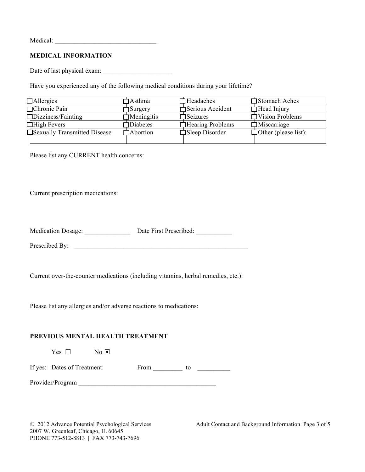Medical: \_\_\_\_\_\_\_\_\_\_\_\_\_\_\_\_\_\_\_\_\_\_\_\_\_\_\_\_\_\_\_

#### **MEDICAL INFORMATION**

Date of last physical exam: \_\_\_\_\_\_\_\_\_\_\_\_\_\_\_\_\_\_\_\_\_

Have you experienced any of the following medical conditions during your lifetime?

| $\Box$ Allergies             | ]Asthma           | $\Box$ Headaches         | Stomach Aches               |
|------------------------------|-------------------|--------------------------|-----------------------------|
| $\Box$ Chronic Pain          | $\Box$ Surgery    | □ Serious Accident       | $\Box$ Head Injury          |
| $\Box$ Dizziness/Fainting    | $\Box$ Meningitis | $\Box$ Seizures          | Vision Problems             |
| $\Box$ High Fevers           | Diabetes          | $\Box$ Hearing Problems  | $\Box$ Miscarriage          |
| Sexually Transmitted Disease | $\Box$ Abortion   | $\square$ Sleep Disorder | $\Box$ Other (please list): |
|                              |                   |                          |                             |

Please list any CURRENT health concerns:

Current prescription medications:

| <b>Medication Dosage:</b> | Date First Prescribed: |
|---------------------------|------------------------|
|---------------------------|------------------------|

Prescribed By:

Current over-the-counter medications (including vitamins, herbal remedies, etc.):

Please list any allergies and/or adverse reactions to medications:

#### **PREVIOUS MENTAL HEALTH TREATMENT**

| Yes $\Box$                  | $\overline{N_0}$ $\bullet$ |      |    |
|-----------------------------|----------------------------|------|----|
| If yes: Dates of Treatment: |                            | From | tο |
| Provider/Program            |                            |      |    |

2007 W. Greenleaf, Chicago, IL 60645 PHONE 773-512-8813 | FAX 773-743-7696

© 2012 Advance Potential Psychological Services Adult Contact and Background Information Page 3 of 5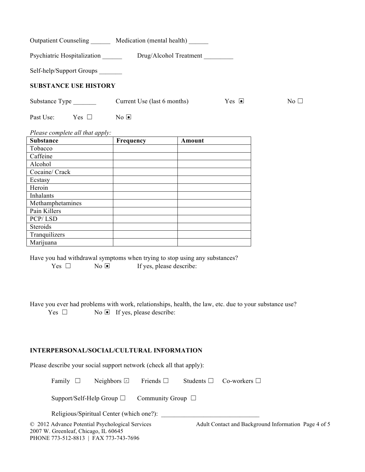| <b>Outpatient Counseling</b> | Medication (mental health)            |                      |           |
|------------------------------|---------------------------------------|----------------------|-----------|
| Psychiatric Hospitalization  | Drug/Alcohol Treatment                |                      |           |
| Self-help/Support Groups     |                                       |                      |           |
| <b>SUBSTANCE USE HISTORY</b> |                                       |                      |           |
| Substance Type _________     | Current Use (last 6 months)           | $Yes \n\blacksquare$ | No $\Box$ |
| Past Use:<br>Yes $\Box$      | $\overline{N_0}$ $\overline{\bullet}$ |                      |           |
|                              |                                       |                      |           |

*Please complete all that apply:*

| <b>Substance</b> | Frequency | Amount |
|------------------|-----------|--------|
| Tobacco          |           |        |
| Caffeine         |           |        |
| Alcohol          |           |        |
| Cocaine/ Crack   |           |        |
| Ecstasy          |           |        |
| Heroin           |           |        |
| Inhalants        |           |        |
| Methamphetamines |           |        |
| Pain Killers     |           |        |
| PCP/LSD          |           |        |
| Steroids         |           |        |
| Tranquilizers    |           |        |
| Marijuana        |           |        |

Have you had withdrawal symptoms when trying to stop using any substances?  $Yes \Box$  No  $\Box$  If yes, please describe:

Have you ever had problems with work, relationships, health, the law, etc. due to your substance use? Yes  $\Box$  No  $\Box$  If yes, please describe:

### **INTERPERSONAL/SOCIAL/CULTURAL INFORMATION**

Please describe your social support network (check all that apply):

Family  $\Box$  Neighbors  $\Box$  Friends  $\Box$  Students  $\Box$  Co-workers  $\Box$ Neighbors  $\boxdot$ 

Support/Self-Help Group □ Community Group □

Religious/Spiritual Center (which one?):

2007 W. Greenleaf, Chicago, IL 60645 PHONE 773-512-8813 | FAX 773-743-7696

© 2012 Advance Potential Psychological Services Adult Contact and Background Information Page 4 of 5